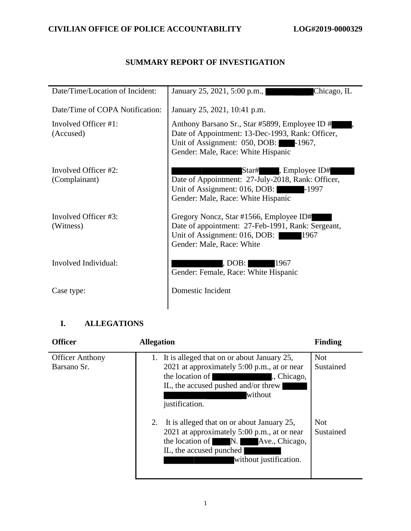## **SUMMARY REPORT OF INVESTIGATION**

| Date/Time/Location of Incident:   | January 25, 2021, 5:00 p.m.,<br>Chicago, IL                                                                                                                                      |
|-----------------------------------|----------------------------------------------------------------------------------------------------------------------------------------------------------------------------------|
| Date/Time of COPA Notification:   | January 25, 2021, 10:41 p.m.                                                                                                                                                     |
| Involved Officer #1:<br>(Accused) | Anthony Barsano Sr., Star #5899, Employee ID #<br>Date of Appointment: 13-Dec-1993, Rank: Officer,<br>Unit of Assignment: 050, DOB: -1967,<br>Gender: Male, Race: White Hispanic |
| Involved Officer #2:              | Star#, Employee ID#                                                                                                                                                              |
| (Complainant)                     | Date of Appointment: 27-July-2018, Rank: Officer,                                                                                                                                |
|                                   | Unit of Assignment: 016, DOB:<br>-1997                                                                                                                                           |
|                                   | Gender: Male, Race: White Hispanic                                                                                                                                               |
|                                   |                                                                                                                                                                                  |
| Involved Officer #3:              | Gregory Noncz, Star #1566, Employee ID#                                                                                                                                          |
| (Witness)                         | Date of appointment: 27-Feb-1991, Rank: Sergeant,                                                                                                                                |
|                                   | Unit of Assignment: 016, DOB:<br>1967                                                                                                                                            |
|                                   | Gender: Male, Race: White                                                                                                                                                        |
|                                   |                                                                                                                                                                                  |
| Involved Individual:              | , DOB:  <br>1967                                                                                                                                                                 |
|                                   | Gender: Female, Race: White Hispanic                                                                                                                                             |
|                                   |                                                                                                                                                                                  |
| Case type:                        | Domestic Incident                                                                                                                                                                |
|                                   |                                                                                                                                                                                  |
|                                   |                                                                                                                                                                                  |

## **I. ALLEGATIONS**

| <b>Officer</b>                        | <b>Allegation</b>                                                                                                                                                                                     | <b>Finding</b>          |
|---------------------------------------|-------------------------------------------------------------------------------------------------------------------------------------------------------------------------------------------------------|-------------------------|
| <b>Officer Anthony</b><br>Barsano Sr. | It is alleged that on or about January 25,<br>1.<br>2021 at approximately 5:00 p.m., at or near<br>the location of<br>., Chicago,<br>IL, the accused pushed and/or threw<br>without<br>justification. | <b>Not</b><br>Sustained |
|                                       | It is alleged that on or about January 25,<br>2.<br>2021 at approximately 5:00 p.m., at or near<br>the location of N.<br>Ave., Chicago,<br>IL, the accused punched<br>without justification.          | <b>Not</b><br>Sustained |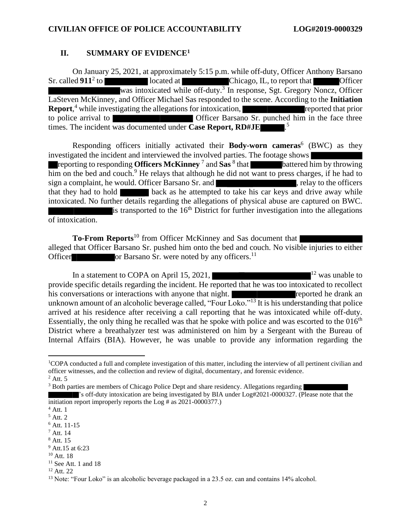#### **II. SUMMARY OF EVIDENCE<sup>1</sup>**

On January 25, 2021, at approximately 5:15 p.m. while off-duty, Officer Anthony Barsano Sr. called  $911^2$  to Iocated at Chicago, IL, to report that Chicago was intoxicated while off-duty.<sup>3</sup> In response, Sgt. Gregory Noncz, Officer LaSteven McKinney, and Officer Michael Sas responded to the scene. According to the **Initiation Report**,<sup>4</sup> while investigating the allegations for intoxication, reported that prior to police arrival to **Officer Barsano Sr.** punched him in the face three times. The incident was documented under **Case Report, RD#JE** .  $\overline{\phantom{0}}^5$ 

Responding officers initially activated their **Body-worn cameras**<sup>6</sup> (BWC) as they investigated the incident and interviewed the involved parties. The footage shows reporting to responding **Officers McKinney**  $^7$  and  $\textbf{Sas}~^8$  that **battered him by throwing**  $\overline{\text{him}}$  on the bed and couch.<sup>9</sup> He relays that although he did not want to press charges, if he had to sign a complaint, he would. Officer Barsano Sr. and , relay to the officers that they had to hold back as he attempted to take his car keys and drive away while intoxicated. No further details regarding the allegations of physical abuse are captured on BWC. is transported to the  $16<sup>th</sup>$  District for further investigation into the allegations of intoxication.

**To-From Reports**<sup>10</sup> from Officer McKinney and Sas document that alleged that Officer Barsano Sr. pushed him onto the bed and couch. No visible injuries to either Officer or Barsano Sr. were noted by any officers.<sup>11</sup>

In a statement to COPA on April 15, 2021, provide specific details regarding the incident. He reported that he was too intoxicated to recollect his conversations or interactions with anyone that night. **The conversations are provided** he drank an unknown amount of an alcoholic beverage called, "Four Loko."<sup>13</sup> It is his understanding that police arrived at his residence after receiving a call reporting that he was intoxicated while off-duty. Essentially, the only thing he recalled was that he spoke with police and was escorted to the  $016<sup>th</sup>$ District where a breathalyzer test was administered on him by a Sergeant with the Bureau of Internal Affairs (BIA). However, he was unable to provide any information regarding the

<sup>1</sup>COPA conducted a full and complete investigation of this matter, including the interview of all pertinent civilian and officer witnesses, and the collection and review of digital, documentary, and forensic evidence.  $2$  Att. 5

<sup>&</sup>lt;sup>3</sup> Both parties are members of Chicago Police Dept and share residency. Allegations regarding

<sup>&#</sup>x27;s off-duty intoxication are being investigated by BIA under Log#2021-0000327. (Please note that the initiation report improperly reports the Log # as 2021-0000377.)

 $<sup>4</sup>$  Att. 1</sup>

<sup>5</sup> Att. 2

<sup>6</sup> Att. 11-15

 $<sup>7</sup>$  Att. 14</sup>

<sup>8</sup> Att. 15

<sup>9</sup> Att.15 at 6:23

 $10$  Att. 18

 $11$  See Att. 1 and 18

 $12$  Att. 22

<sup>&</sup>lt;sup>13</sup> Note: "Four Loko" is an alcoholic beverage packaged in a 23.5 oz. can and contains 14% alcohol.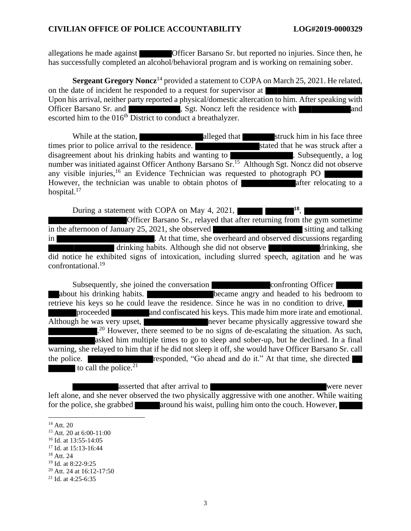allegations he made against Officer Barsano Sr. but reported no injuries. Since then, he has successfully completed an alcohol/behavioral program and is working on remaining sober.

**Sergeant Gregory Noncz**<sup>14</sup> provided a statement to COPA on March 25, 2021. He related, on the date of incident he responded to a request for supervisor at Upon his arrival, neither party reported a physical/domestic altercation to him. After speaking with Officer Barsano Sr. and **the state of the state of the state of the residence with and and state and and state and and state and and state and state and state and state and state and state and state and state and state and** escorted him to the  $016<sup>th</sup>$  District to conduct a breathalyzer.

While at the station, alleged that struck him in his face three times prior to police arrival to the residence. Stated that he was struck after a disagreement about his drinking habits and wanting to **the contract of the contract of the contract of the contract of the contract of the contract of the contract of the contract of the contract of the contract of the con** number was initiated against Officer Anthony Barsano Sr.<sup>15</sup> Although Sgt. Noncz did not observe any visible injuries, <sup>16</sup> an Evidence Technician was requested to photograph PO However, the technician was unable to obtain photos of a after relocating to a hospital.<sup>17</sup>

During a statement with COPA on May 4, 2021, **18** , Officer Barsano Sr., relayed that after returning from the gym sometime in the afternoon of January 25, 2021, she observed sitting and talking sitting and talking in **Exercise 2.** At that time, she overheard and observed discussions regarding drinking habits. Although she did not observe did notice he exhibited signs of intoxication, including slurred speech, agitation and he was confrontational.<sup>19</sup>

Subsequently, she joined the conversation confronting Officer about his drinking habits. **became** angry and headed to his bedroom to retrieve his keys so he could leave the residence. Since he was in no condition to drive, proceeded and confiscated his keys. This made him more irate and emotional. Although he was very upset, never became physically aggressive toward she <sup>20</sup> However, there seemed to be no signs of de-escalating the situation. As such, asked him multiple times to go to sleep and sober-up, but he declined. In a final warning, she relayed to him that if he did not sleep it off, she would have Officer Barsano Sr. call the police. to call the police. $21$ 

asserted that after arrival to were never left alone, and she never observed the two physically aggressive with one another. While waiting for the police, she grabbed around his waist, pulling him onto the couch. However,

<sup>&</sup>lt;sup>14</sup> Att. 20

<sup>15</sup> Att. 20 at 6:00-11:00

<sup>16</sup> Id. at 13:55-14:05

<sup>&</sup>lt;sup>17</sup> Id. at 15:13-16:44

 $18$  Att. 24

<sup>19</sup> Id. at 8:22-9:25

 $20$  Att. 24 at 16:12-17:50

<sup>21</sup> Id. at 4:25-6:35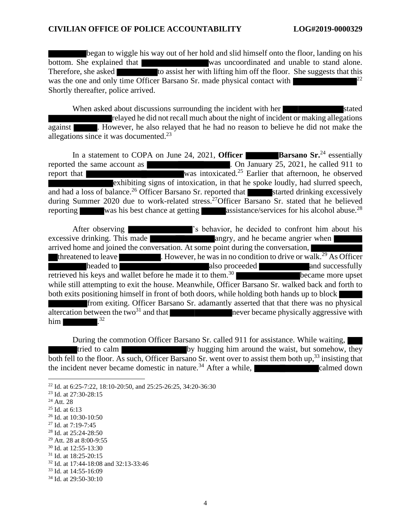began to wiggle his way out of her hold and slid himself onto the floor, landing on his bottom. She explained that was uncoordinated and unable to stand alone. Therefore, she asked to assist her with lifting him off the floor. She suggests that this was the one and only time Officer Barsano Sr. made physical contact with Shortly thereafter, police arrived.

When asked about discussions surrounding the incident with her stated relayed he did not recall much about the night of incident or making allegations against **.** However, he also relayed that he had no reason to believe he did not make the allegations since it was documented.<sup>23</sup>

In a statement to COPA on June 24, 2021, **Officer Barsano** Sr.<sup>24</sup> essentially reported the same account as **.** On January 25, 2021, he called 911 to report that was intoxicated.<sup>25</sup> Earlier that afternoon, he observed exhibiting signs of intoxication, in that he spoke loudly, had slurred speech, and had a loss of balance.<sup>26</sup> Officer Barsano Sr. reported that started drinking excessively during Summer 2020 due to work-related stress.<sup>27</sup>Officer Barsano Sr. stated that he believed reporting was his best chance at getting assistance/services for his alcohol abuse.<sup>28</sup>

After observing  $\blacksquare$  's behavior, he decided to confront him about his excessive drinking. This made and angry, and he became angrier when arrived home and joined the conversation. At some point during the conversation, threatened to leave  $\blacksquare$ . However, he was in no condition to drive or walk.<sup>29</sup> As Officer headed to also proceeded also proceeded and successfully retrieved his keys and wallet before he made it to them. became more upset while still attempting to exit the house. Meanwhile, Officer Barsano Sr. walked back and forth to both exits positioning himself in front of both doors, while holding both hands up to block from exiting. Officer Barsano Sr. adamantly asserted that that there was no physical altercation between the two<sup>31</sup> and that never became physically aggressive with him  $\blacksquare$ 32

During the commotion Officer Barsano Sr. called 911 for assistance. While waiting, tried to calm by hugging him around the waist, but somehow, they both fell to the floor. As such, Officer Barsano Sr. went over to assist them both up,<sup>33</sup> insisting that the incident never became domestic in nature.<sup>34</sup> After a while, calmed down

<sup>22</sup> Id. at 6:25-7:22, 18:10-20:50, and 25:25-26:25, 34:20-36:30

<sup>23</sup> Id. at 27:30-28:15

<sup>24</sup> Att. 28

 $25$  Id. at 6:13

<sup>26</sup> Id. at 10:30-10:50

<sup>27</sup> Id. at 7:19-7:45

<sup>28</sup> Id. at 25:24-28:50

<sup>29</sup> Att. 28 at 8:00-9:55

<sup>30</sup> Id. at 12:55-13:30

<sup>31</sup> Id. at 18:25-20:15

<sup>32</sup> Id. at 17:44-18:08 and 32:13-33:46

<sup>33</sup> Id. at 14:55-16:09

<sup>34</sup> Id. at 29:50-30:10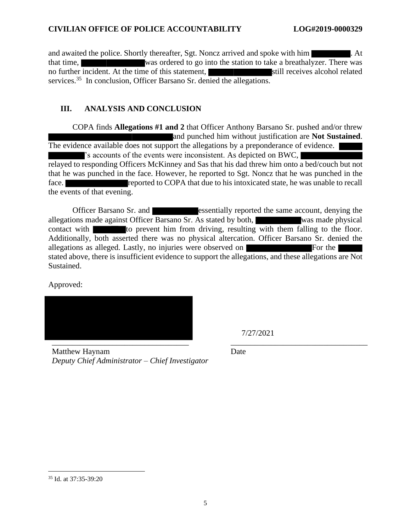and awaited the police. Shortly thereafter, Sgt. Noncz arrived and spoke with him . At that time, was ordered to go into the station to take a breathalyzer. There was no further incident. At the time of this statement, still receives alcohol related services.<sup>35</sup> In conclusion, Officer Barsano Sr. denied the allegations.

### **III. ANALYSIS AND CONCLUSION**

COPA finds **Allegations #1 and 2** that Officer Anthony Barsano Sr. pushed and/or threw and punched him without justification are **Not Sustained**. The evidence available does not support the allegations by a preponderance of evidence. 's accounts of the events were inconsistent. As depicted on BWC,

relayed to responding Officers McKinney and Sas that his dad threw him onto a bed/couch but not that he was punched in the face. However, he reported to Sgt. Noncz that he was punched in the face. **Reported to COPA** that due to his intoxicated state, he was unable to recall the events of that evening.

Officer Barsano Sr. and **essentially reported the same account, denying the** allegations made against Officer Barsano Sr. As stated by both, was made physical contact with to prevent him from driving, resulting with them falling to the floor. Additionally, both asserted there was no physical altercation. Officer Barsano Sr. denied the allegations as alleged. Lastly, no injuries were observed on Form For the Form of the Form of the  $\blacksquare$ stated above, there is insufficient evidence to support the allegations, and these allegations are Not Sustained.

Approved:



7/27/2021

Matthew Haynam *Deputy Chief Administrator – Chief Investigator*

Date

<sup>35</sup> Id. at 37:35-39:20